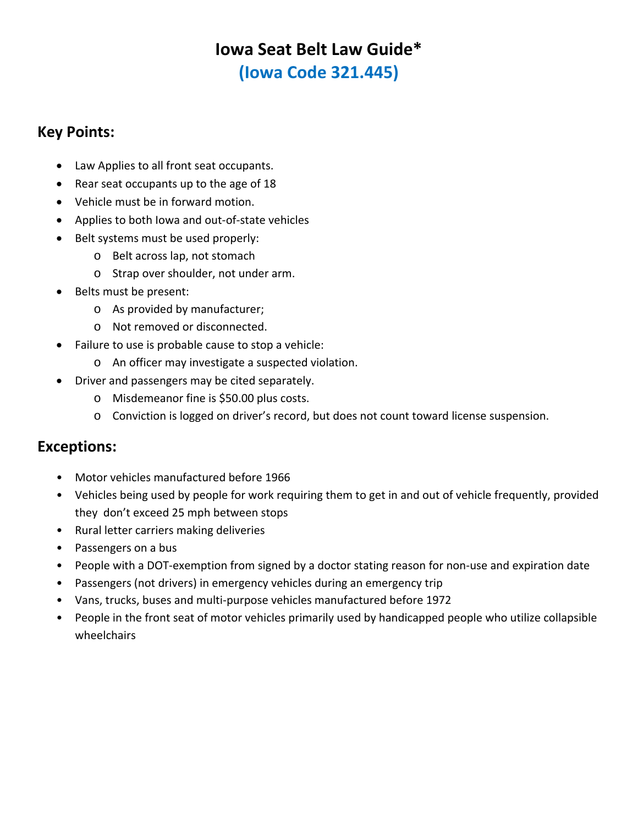# **Iowa Seat Belt Law Guide\* (Iowa Code 321.445)**

## **Key Points:**

- Law Applies to all front seat occupants.
- Rear seat occupants up to the age of 18
- Vehicle must be in forward motion.
- Applies to both Iowa and out-of-state vehicles
- Belt systems must be used properly:
	- o Belt across lap, not stomach
	- o Strap over shoulder, not under arm.
- Belts must be present:
	- o As provided by manufacturer;
	- o Not removed or disconnected.
- Failure to use is probable cause to stop a vehicle:
	- o An officer may investigate a suspected violation.
- Driver and passengers may be cited separately.
	- o Misdemeanor fine is \$50.00 plus costs.
	- o Conviction is logged on driver's record, but does not count toward license suspension.

### **Exceptions:**

- Motor vehicles manufactured before 1966
- Vehicles being used by people for work requiring them to get in and out of vehicle frequently, provided they don't exceed 25 mph between stops
- Rural letter carriers making deliveries
- Passengers on a bus
- People with a DOT‐exemption from signed by a doctor stating reason for non‐use and expiration date
- Passengers (not drivers) in emergency vehicles during an emergency trip
- Vans, trucks, buses and multi‐purpose vehicles manufactured before 1972
- People in the front seat of motor vehicles primarily used by handicapped people who utilize collapsible wheelchairs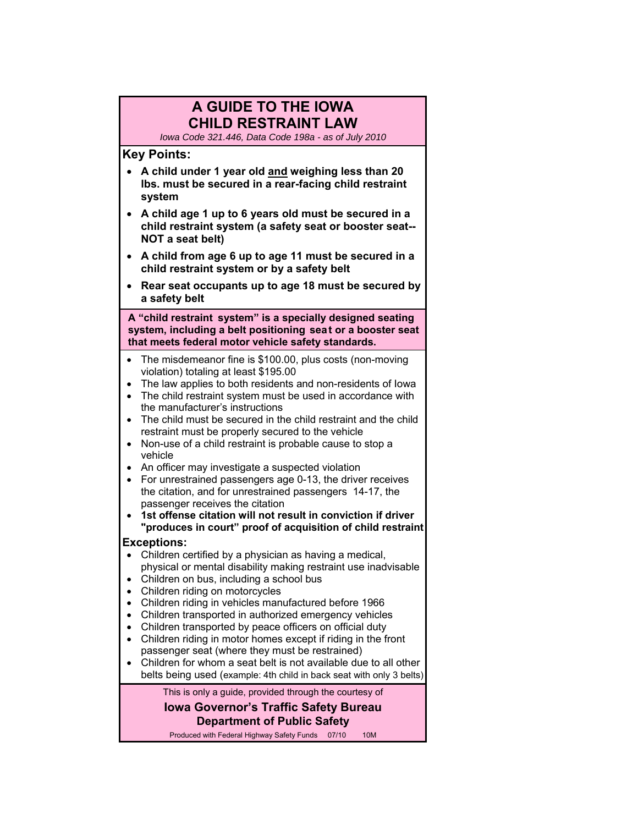### **A GUIDE TO THE IOWA CHILD RESTRAINT LAW**

*Iowa Code 321.446, Data Code 198a - as of July 2010* 

#### **Key Points:**

- **A child under 1 year old and weighing less than 20 lbs. must be secured in a rear-facing child restraint system**
- **A child age 1 up to 6 years old must be secured in a child restraint system (a safety seat or booster seat-- NOT a seat belt)**
- **A child from age 6 up to age 11 must be secured in a child restraint system or by a safety belt**
- **Rear seat occupants up to age 18 must be secured by a safety belt**

 **A "child restraint system" is a specially designed seating system, including a belt positioning sea t or a booster seat that meets federal motor vehicle safety standards.** 

- The misdemeanor fine is \$100.00, plus costs (non-moving violation) totaling at least \$195.00
- The law applies to both residents and non-residents of Iowa
- The child restraint system must be used in accordance with the manufacturer's instructions
- The child must be secured in the child restraint and the child restraint must be properly secured to the vehicle
- Non-use of a child restraint is probable cause to stop a vehicle
- An officer may investigate a suspected violation
- For unrestrained passengers age 0-13, the driver receives the citation, and for unrestrained passengers 14-17, the passenger receives the citation
- **1st offense citation will not result in conviction if driver "produces in court" proof of acquisition of child restraint**

#### **Exceptions:**

- Children certified by a physician as having a medical, physical or mental disability making restraint use inadvisable
- Children on bus, including a school bus
- Children riding on motorcycles
- Children riding in vehicles manufactured before 1966
- Children transported in authorized emergency vehicles
- Children transported by peace officers on official duty
- Children riding in motor homes except if riding in the front passenger seat (where they must be restrained)
- Children for whom a seat belt is not available due to all other belts being used (example: 4th child in back seat with only 3 belts)

This is only a guide, provided through the courtesy of

**Iowa Governor's Traffic Safety Bureau Department of Public Safety** 

Produced with Federal Highway Safety Funds 07/10 10M